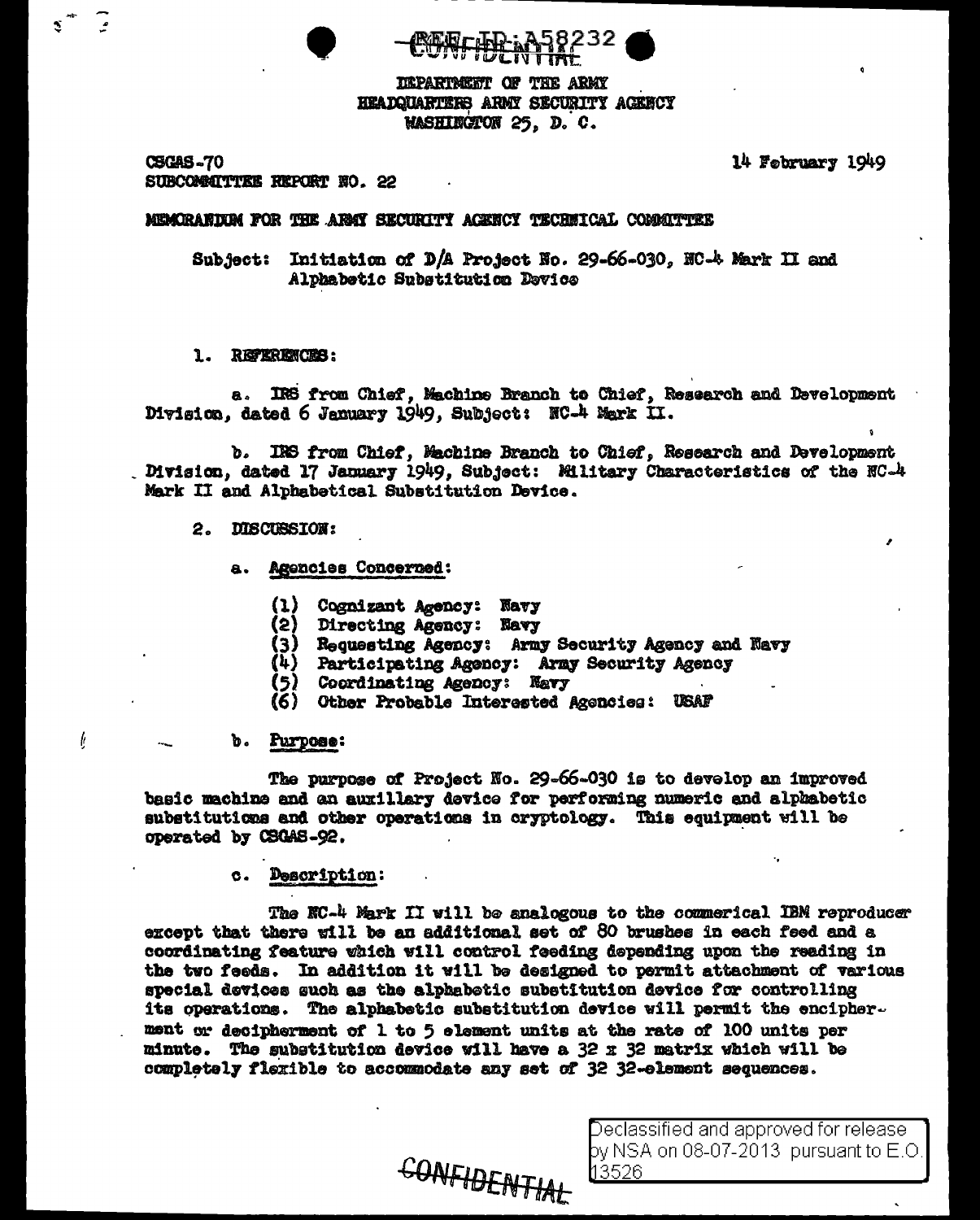IEPARTMENT OF THE ARMY HEADQUARTERS ARMY SECURITY AGENCY **MASHINGTON 25, D. C.** 

**CSGAS-70 SUBCOMMITTEE REPORT NO. 22**  14 February 1949

## MEMORANDEM FOR THE ARMY SECURITY ACENCY TECHNICAL COMMITTEE

Subject: Initiation of D/A Project No. 29-66-030, NC-4 Mark II and Alphabetic Substitution Device

## 1. REFERENCES:

IRS from Chief, Machine Branch to Chief, Research and Development a. Division, dated 6 January 1949, Subject: NC-4 Mark II.

b. IRS from Chief, Machine Branch to Chief, Research and Development Division, dated 17 January 1949, Subject: Military Characteristics of the NC-4 Mark II and Alphabetical Substitution Device.

### 2. DISCUSSION:

- **Agencies Concerned: a.** 
	- $\bf{u}$ Cognizant Agency: Navy
	- (2) Directing Agency: Navy
	- (3) Requesting Agency: Army Security Agency and Navy
	- Participating Agency: Army Security Agency  $(4)$
	- Coordinating Agency: Navy
	- (6) Other Probable Interested Acencies: USAF

### b. Purpose:

ŀ

The purpose of Project No. 29-66-030 is to develop an improved basic machine and an auxillary device for performing numeric and alphabetic substitutions and other operations in cryptology. This equipment will be operated by CSGAS-92.

## c. Description:

The NC-4 Mark II will be analogous to the commerical IBM reproducer except that there will be an additional set of 80 brushes in each feed and a coordinating feature which will control feeding depending upon the reading in the two feeds. In addition it will be designed to permit attachment of various special devices such as the alphabetic substitution device for controlling its operations. The alphabetic substitution device will permit the encipher. ment or decipherment of 1 to 5 element units at the rate of 100 units per minute. The substitution device will have a 32 x 32 matrix which will be completely flexible to accommodate any set of 32 32-element sequences.

CONFIDENTIAL

Declassified and approved for release by NSA on 08-07-2013  $\,$  pursuant to E.O. 13526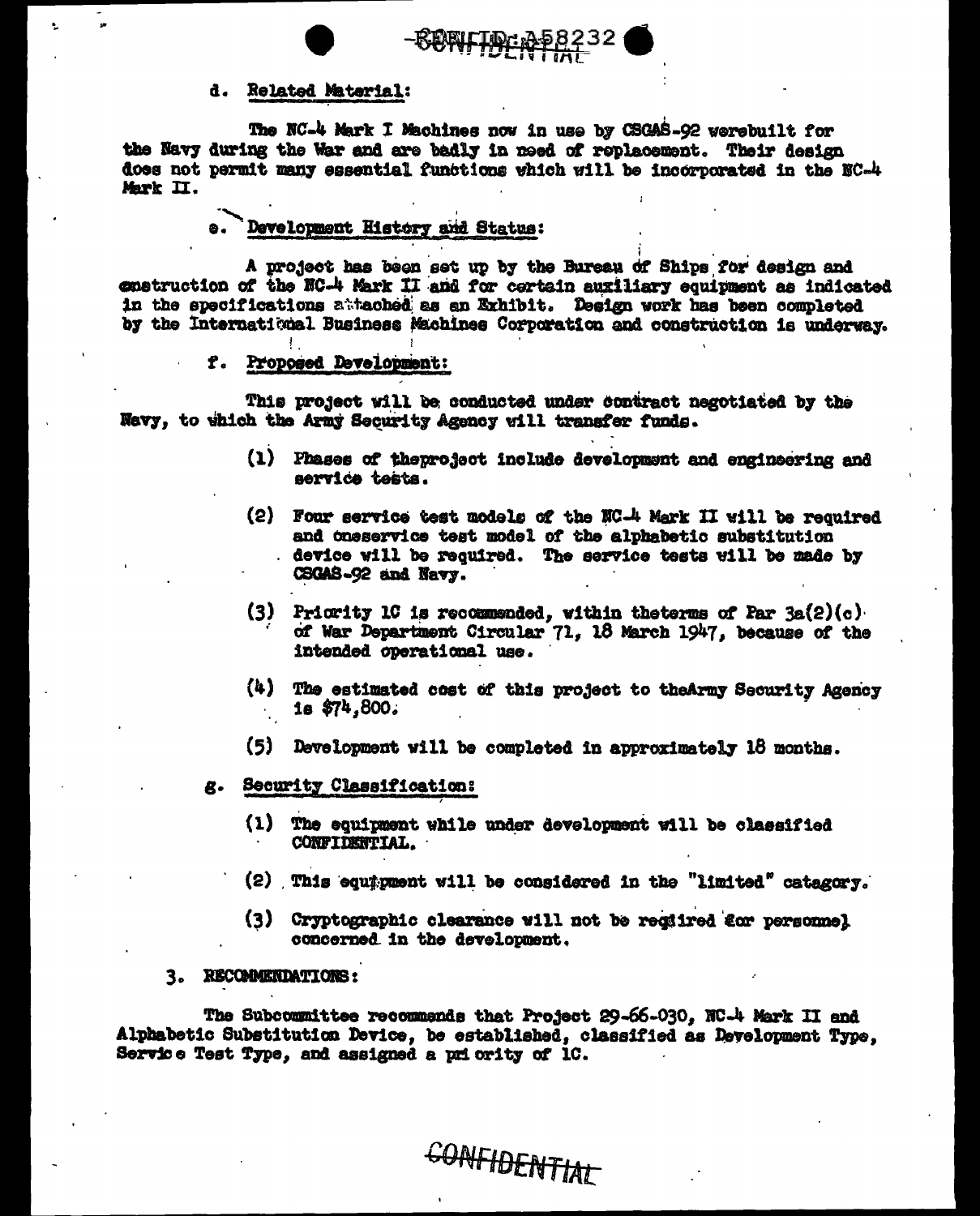



## d. Related Material:

The NC-4 Mark I Machines now in use by CSGAS-92 werebuilt for the Navy during the War and are badly in need of replacement. Their design does not permit many essential functions which will be incorporated in the NC-4 Mark II.

# Development History and Status:

A project has been set up by the Bureau of Ships for design and enstruction of the NC-4 Mark II and for certain auxiliary equipment as indicated in the specifications attached as an Exhibit. Design work has been completed by the International Business Machines Corporation and construction is underway.

#### Proposed Development: ₽.

 $\mathbf{I}$ 

This project will be conducted under contract negotiated by the Navy, to which the Army Security Agency will transfer funds.

- (1) Phases of theproject include development and engineering and service tests.
- (2) Four service test models of the NC-4 Mark II will be required and oneservice test model of the alphabetic substitution device will be required. The service tests will be made by CSGAS-92 and Navy.
- (3) Pricrity 1C is recommended, within the terms of Par  $3a(2)(c)$ . of War Department Circular 71, 18 March 1947, because of the intended operational use.
- $(4)$ The estimated cost of this project to theArmy Security Agency  $1s$  \$74.800.
- (5) Development will be completed in approximately 18 months.
- Security Classification:
	- (1) The equipment while under development will be classified CONFIDENTIAL.
	- (2) This equipment will be considered in the "limited" catagory.
	- (3) Cryptographic clearance will not be regiired for personnel concerned in the development.

# 3. RECOMMENDATIONS:

The Subcommittee recommends that Project 29-66-030, NC-4 Mark II and Alphabetic Substitution Device, be established, classified as Development Type, Service Test Type, and assigned a priority of 1C.

**CONFIDENTIAL**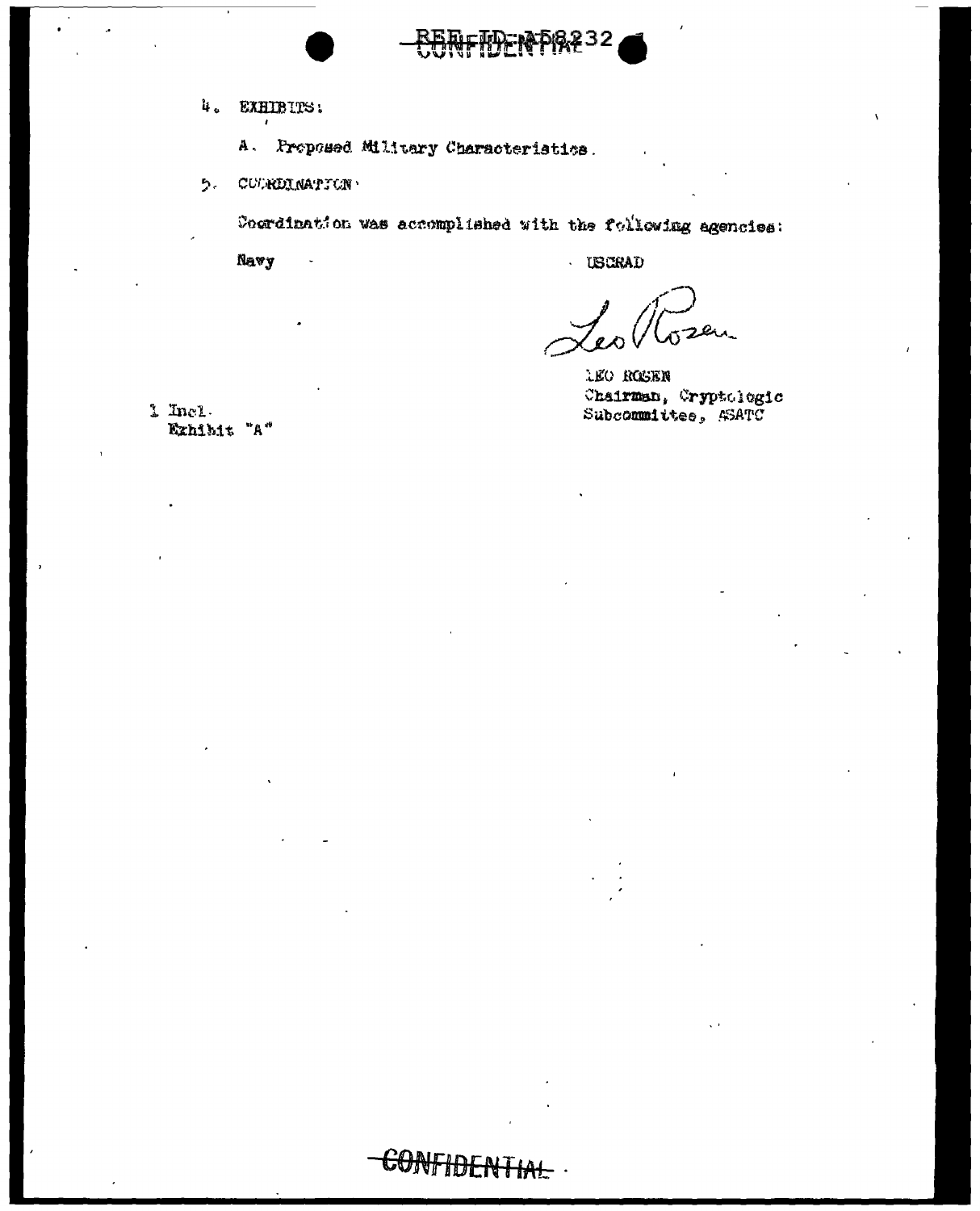- 4. EXHIBITS:
	- A. Proposed Military Characteristics.

CONFIDER

5. CURRDINATION

Coordination was accomplished with the following agencies:

**ቑዀዅቚኯ፝ዿ**፞ጞ32

Navy

**USCRAD** 

sen.

**LEO ROSEN** Chairman, Cryptologic Subcommittee, 43ATC

1 Incl. Exhibit "A"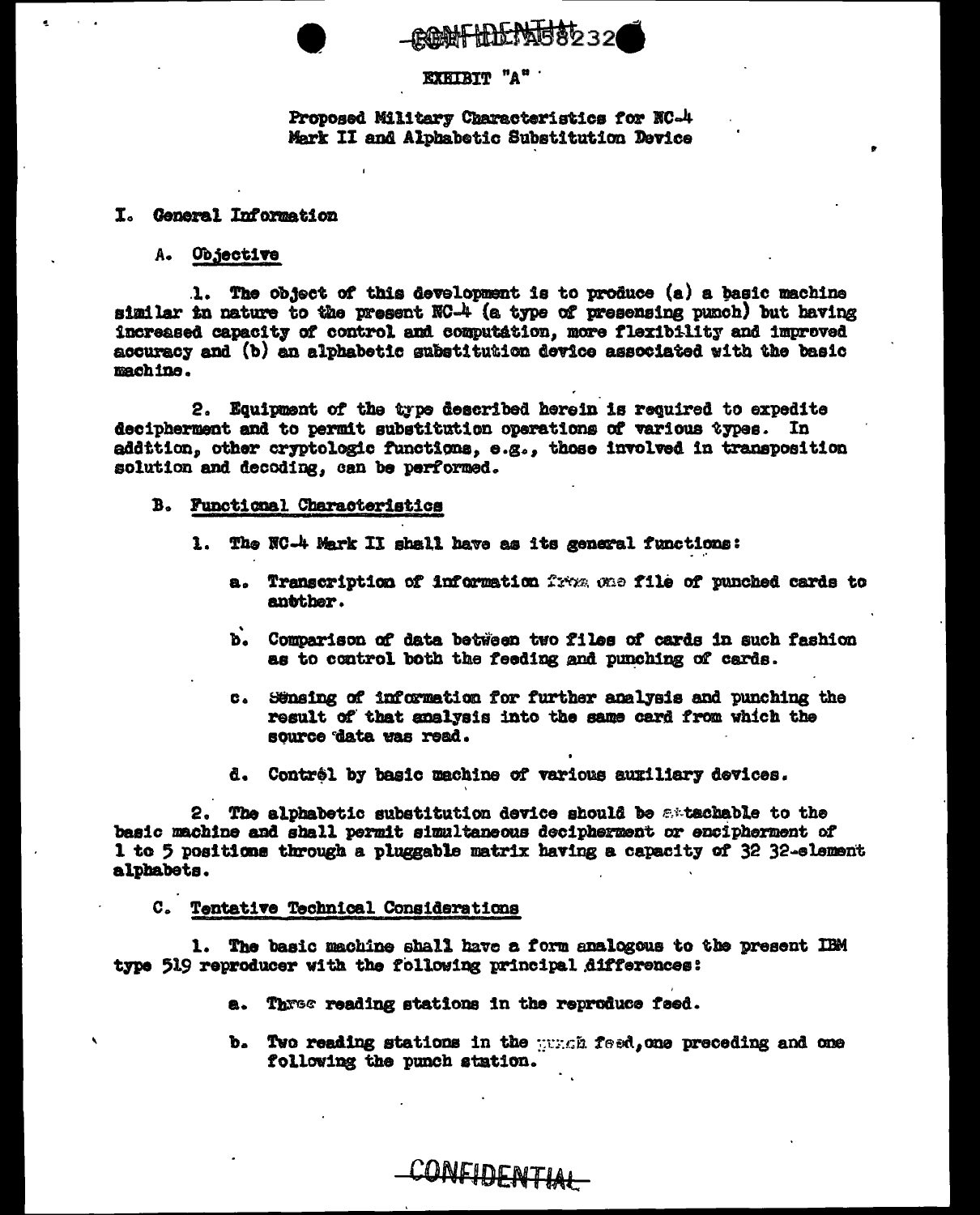CONFIDENTERS 32

# EXEIBIT "A"

Proposed Military Characteristics for NC-4 Mark II and Alphabetic Substitution Device

## I. General Information

A. Objective

1. The object of this development is to produce (a) a basic machine similar in nature to the present NC-4 (a type of presensing punch) but having increased capacity of control and computation, more flexibility and improved accuracy and (b) an alphabetic substitution device associated with the basic machine.

2. Equipment of the type described herein is required to expedite decipherment and to permit substitution operations of various types. In addition, other cryptologic functions, e.g., those involved in transposition solution and decoding, can be performed.

### B. Functional Characteristics

- 1. The NC-4 Mark II shall have as its general functions:
	- a. Transcription of information from one file of punched cards to antther.
	- b. Comparison of data between two files of cards in such fashion as to control both the feeding and punching of cards.
	- Sönsing of information for further analysis and punching the  $\mathbf{c}_{\bullet}$ result of that analysis into the same card from which the source data was read.
	- d. Contrôl by basic machine of various auxiliary devices.

2. The alphabetic substitution device should be attachable to the basic machine and shall permit simultaneous decipherment or encipherment of 1 to 5 positions through a pluggable matrix having a capacity of 32 32-element alphabets.

# C. Tentative Technical Considerations

1. The basic machine shall have a form analogous to the present IBM type 519 reproducer with the following principal differences:

CONFIDENTIAL

- a. Three reading stations in the reproduce feed.
- b. Two reading stations in the wrach feed, one preceding and one following the punch station.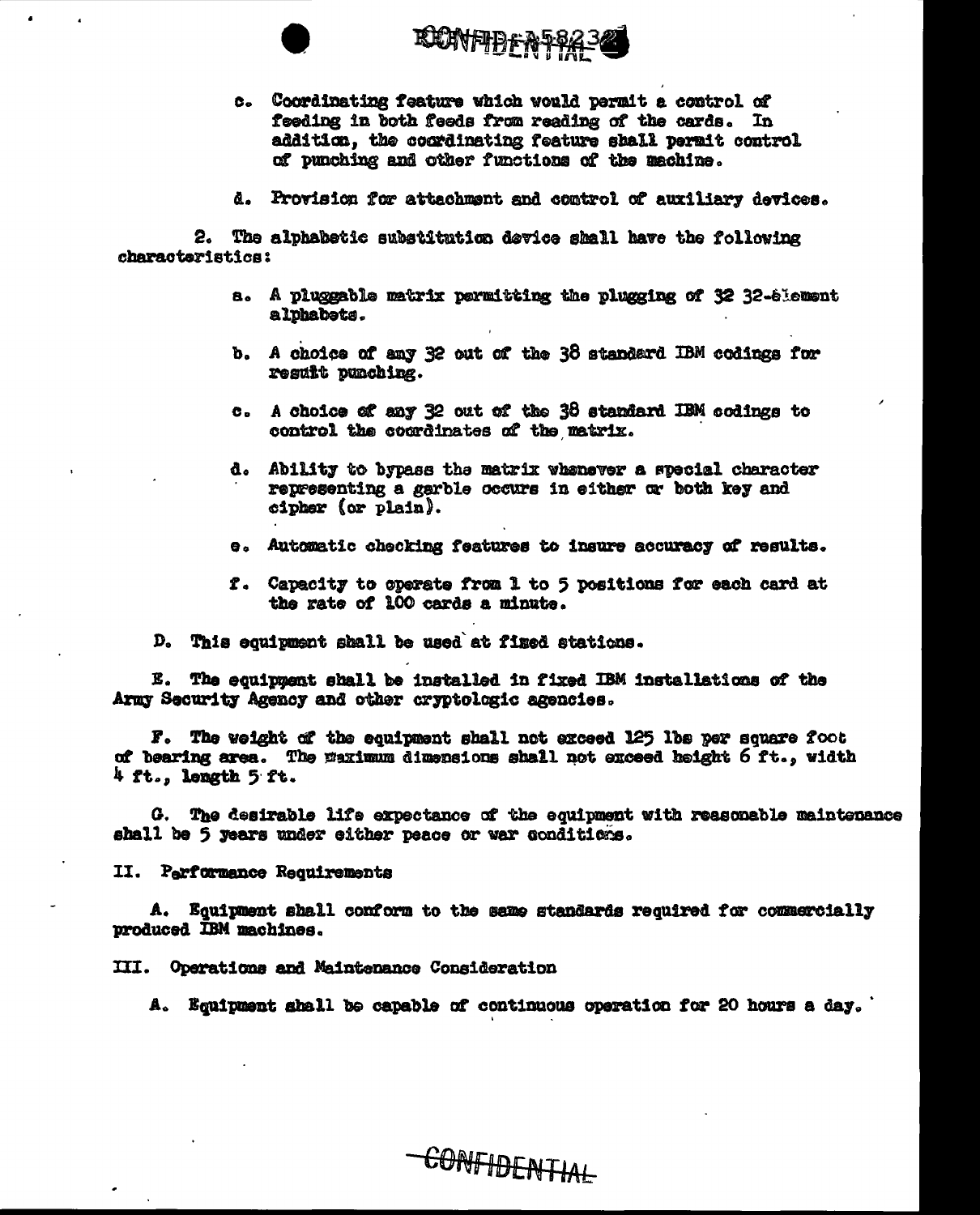

**КСИМЕТРЬ-А-РИ** 

- c. Coordinating feature which would permit a control of feeding in both feeds from reading of the cards. In addition, the coordinating feature shall permit control of punching and other functions of the machine.
- d. Provision for attachment and comtrol of auxiliary devices.

2. The alphabetic substitution device shall have the following characteristics:

- a. A pluggable matrix permitting the plugging of 32 32-61ement alphabets.
- b. A choice of any 32 out of the 38 standard IBM codings for resuit punching.
- c. A choice of any 32 out of the 38 standard IBM codings to control the coordinates of the matrix.
- d. Ability to bypass the matrix whenever a special character representing a garble occurs in either or both key and cipher (or plain).
- e. Automatic checking features to insure accuracy of results.
- f. Capacity to operate from 1 to 5 positions for each card at the rate of 100 cards a minute.

D. This equipment shall be used at fixed stations.

E. The equipment shall be installed in fixed IBM installations of the Army Security Agency and other cryptologic agencies.

F. The weight of the equipment shall not exceed 125 lbs per square foot of bearing area. The waximum dimensions shall not exceed height 6 ft., width 4 ft., length 5 ft.

G. The desirable life expectance of the equipment with reasonable maintenance shall be 5 years under either peace or war conditions.

II. Performance Requirements

A. Equipment shall conform to the same standards required for commercially produced IBM machines.

III. Operations and Maintenance Consideration

A. Equipment shall be capable of continuous operation for 20 hours a day.

-CONFIDENTIAL